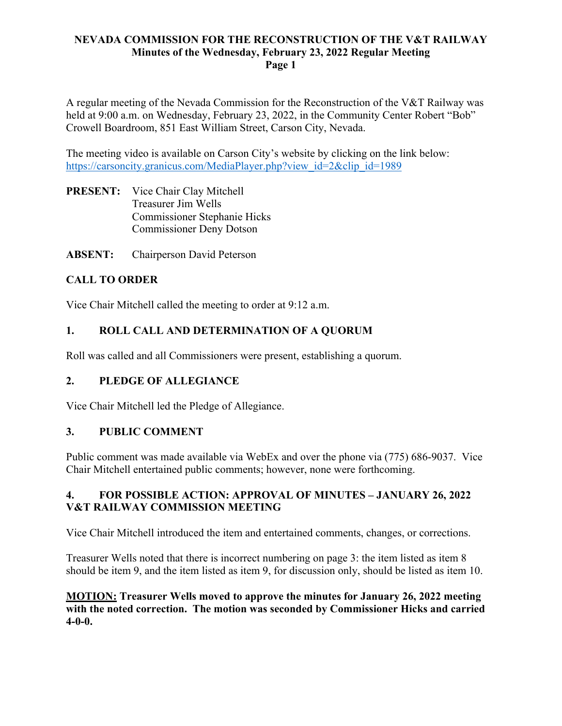## **NEVADA COMMISSION FOR THE RECONSTRUCTION OF THE V&T RAILWAY Minutes of the Wednesday, February 23, 2022 Regular Meeting Page 1**

A regular meeting of the Nevada Commission for the Reconstruction of the V&T Railway was held at 9:00 a.m. on Wednesday, February 23, 2022, in the Community Center Robert "Bob" Crowell Boardroom, 851 East William Street, Carson City, Nevada.

The meeting video is available on Carson City's website by clicking on the link below: https://carsoncity.granicus.com/MediaPlayer.php?view\_id=2&clip\_id=1989

- **PRESENT:** Vice Chair Clay Mitchell Treasurer Jim Wells Commissioner Stephanie Hicks Commissioner Deny Dotson
- **ABSENT:** Chairperson David Peterson

# **CALL TO ORDER**

Vice Chair Mitchell called the meeting to order at 9:12 a.m.

# **1. ROLL CALL AND DETERMINATION OF A QUORUM**

Roll was called and all Commissioners were present, establishing a quorum.

## **2. PLEDGE OF ALLEGIANCE**

Vice Chair Mitchell led the Pledge of Allegiance.

## **3. PUBLIC COMMENT**

Public comment was made available via WebEx and over the phone via (775) 686-9037. Vice Chair Mitchell entertained public comments; however, none were forthcoming.

## **4. FOR POSSIBLE ACTION: APPROVAL OF MINUTES – JANUARY 26, 2022 V&T RAILWAY COMMISSION MEETING**

Vice Chair Mitchell introduced the item and entertained comments, changes, or corrections.

Treasurer Wells noted that there is incorrect numbering on page 3: the item listed as item 8 should be item 9, and the item listed as item 9, for discussion only, should be listed as item 10.

**MOTION: Treasurer Wells moved to approve the minutes for January 26, 2022 meeting with the noted correction. The motion was seconded by Commissioner Hicks and carried 4-0-0.**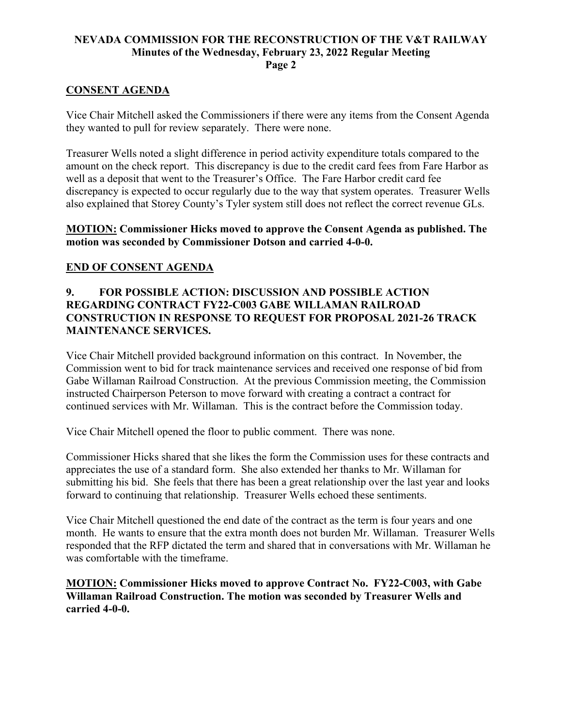### **NEVADA COMMISSION FOR THE RECONSTRUCTION OF THE V&T RAILWAY Minutes of the Wednesday, February 23, 2022 Regular Meeting Page 2**

### **CONSENT AGENDA**

Vice Chair Mitchell asked the Commissioners if there were any items from the Consent Agenda they wanted to pull for review separately. There were none.

Treasurer Wells noted a slight difference in period activity expenditure totals compared to the amount on the check report. This discrepancy is due to the credit card fees from Fare Harbor as well as a deposit that went to the Treasurer's Office. The Fare Harbor credit card fee discrepancy is expected to occur regularly due to the way that system operates. Treasurer Wells also explained that Storey County's Tyler system still does not reflect the correct revenue GLs.

### **MOTION: Commissioner Hicks moved to approve the Consent Agenda as published. The motion was seconded by Commissioner Dotson and carried 4-0-0.**

### **END OF CONSENT AGENDA**

## **9. FOR POSSIBLE ACTION: DISCUSSION AND POSSIBLE ACTION REGARDING CONTRACT FY22-C003 GABE WILLAMAN RAILROAD CONSTRUCTION IN RESPONSE TO REQUEST FOR PROPOSAL 2021-26 TRACK MAINTENANCE SERVICES.**

Vice Chair Mitchell provided background information on this contract. In November, the Commission went to bid for track maintenance services and received one response of bid from Gabe Willaman Railroad Construction. At the previous Commission meeting, the Commission instructed Chairperson Peterson to move forward with creating a contract a contract for continued services with Mr. Willaman. This is the contract before the Commission today.

Vice Chair Mitchell opened the floor to public comment. There was none.

Commissioner Hicks shared that she likes the form the Commission uses for these contracts and appreciates the use of a standard form. She also extended her thanks to Mr. Willaman for submitting his bid. She feels that there has been a great relationship over the last year and looks forward to continuing that relationship. Treasurer Wells echoed these sentiments.

Vice Chair Mitchell questioned the end date of the contract as the term is four years and one month. He wants to ensure that the extra month does not burden Mr. Willaman. Treasurer Wells responded that the RFP dictated the term and shared that in conversations with Mr. Willaman he was comfortable with the timeframe.

**MOTION: Commissioner Hicks moved to approve Contract No. FY22-C003, with Gabe Willaman Railroad Construction. The motion was seconded by Treasurer Wells and carried 4-0-0.**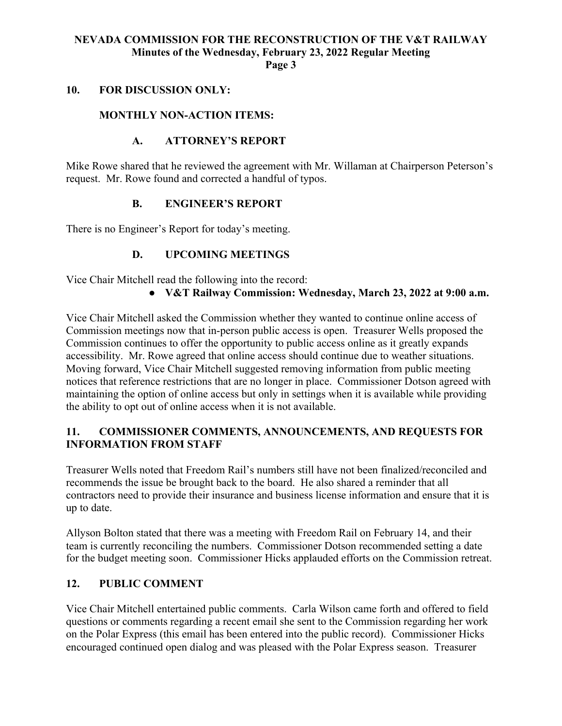# **NEVADA COMMISSION FOR THE RECONSTRUCTION OF THE V&T RAILWAY Minutes of the Wednesday, February 23, 2022 Regular Meeting**

**Page 3**

#### **10. FOR DISCUSSION ONLY:**

### **MONTHLY NON-ACTION ITEMS:**

## **A. ATTORNEY'S REPORT**

Mike Rowe shared that he reviewed the agreement with Mr. Willaman at Chairperson Peterson's request. Mr. Rowe found and corrected a handful of typos.

### **B. ENGINEER'S REPORT**

There is no Engineer's Report for today's meeting.

### **D. UPCOMING MEETINGS**

Vice Chair Mitchell read the following into the record:

● **V&T Railway Commission: Wednesday, March 23, 2022 at 9:00 a.m.**

Vice Chair Mitchell asked the Commission whether they wanted to continue online access of Commission meetings now that in-person public access is open. Treasurer Wells proposed the Commission continues to offer the opportunity to public access online as it greatly expands accessibility. Mr. Rowe agreed that online access should continue due to weather situations. Moving forward, Vice Chair Mitchell suggested removing information from public meeting notices that reference restrictions that are no longer in place. Commissioner Dotson agreed with maintaining the option of online access but only in settings when it is available while providing the ability to opt out of online access when it is not available.

## **11. COMMISSIONER COMMENTS, ANNOUNCEMENTS, AND REQUESTS FOR INFORMATION FROM STAFF**

Treasurer Wells noted that Freedom Rail's numbers still have not been finalized/reconciled and recommends the issue be brought back to the board. He also shared a reminder that all contractors need to provide their insurance and business license information and ensure that it is up to date.

Allyson Bolton stated that there was a meeting with Freedom Rail on February 14, and their team is currently reconciling the numbers. Commissioner Dotson recommended setting a date for the budget meeting soon. Commissioner Hicks applauded efforts on the Commission retreat.

### **12. PUBLIC COMMENT**

Vice Chair Mitchell entertained public comments. Carla Wilson came forth and offered to field questions or comments regarding a recent email she sent to the Commission regarding her work on the Polar Express (this email has been entered into the public record). Commissioner Hicks encouraged continued open dialog and was pleased with the Polar Express season. Treasurer